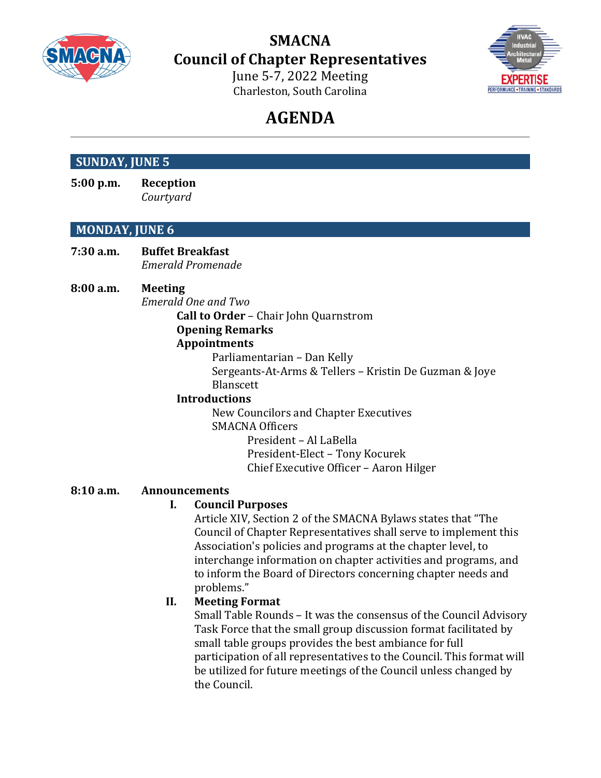

**SMACNA Council of Chapter Representatives**

> June 5-7, 2022 Meeting Charleston, South Carolina



# **AGENDA**

# **SUNDAY, JUNE 5**

**5:00 p.m. Reception** *Courtyard*

# **MONDAY, JUNE 6**

**7:30 a.m. Buffet Breakfast** *Emerald Promenade*

## **8:00 a.m. Meeting**

*Emerald One and Two*

**Call to Order** – Chair John Quarnstrom **Opening Remarks Appointments**

> Parliamentarian – Dan Kelly Sergeants-At-Arms & Tellers – Kristin De Guzman & Joye **Blanscett**

#### **Introductions**

New Councilors and Chapter Executives SMACNA Officers President – Al LaBella President-Elect – Tony Kocurek Chief Executive Officer – Aaron Hilger

## **8:10 a.m. Announcements**

## **I. Council Purposes**

Article XIV, Section 2 of the SMACNA Bylaws states that "The Council of Chapter Representatives shall serve to implement this Association's policies and programs at the chapter level, to interchange information on chapter activities and programs, and to inform the Board of Directors concerning chapter needs and problems."

## **II. Meeting Format**

Small Table Rounds – It was the consensus of the Council Advisory Task Force that the small group discussion format facilitated by small table groups provides the best ambiance for full participation of all representatives to the Council. This format will be utilized for future meetings of the Council unless changed by the Council.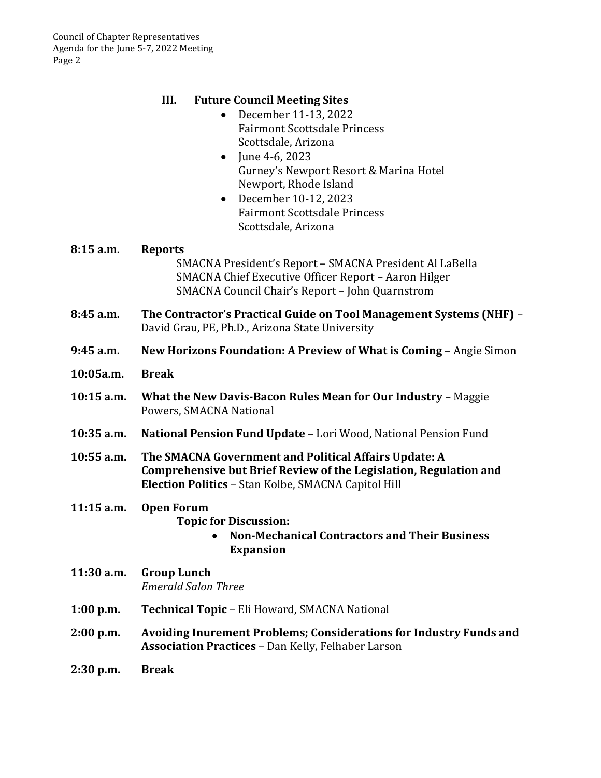# **III. Future Council Meeting Sites**

- December 11-13, 2022 Fairmont Scottsdale Princess Scottsdale, Arizona
- June 4-6, 2023 Gurney's Newport Resort & Marina Hotel Newport, Rhode Island
- December 10-12, 2023 Fairmont Scottsdale Princess Scottsdale, Arizona

| 8:15 a.m.    | <b>Reports</b><br>SMACNA President's Report - SMACNA President Al LaBella<br>SMACNA Chief Executive Officer Report - Aaron Hilger<br>SMACNA Council Chair's Report - John Quarnstrom |
|--------------|--------------------------------------------------------------------------------------------------------------------------------------------------------------------------------------|
| 8:45 a.m.    | The Contractor's Practical Guide on Tool Management Systems (NHF) -<br>David Grau, PE, Ph.D., Arizona State University                                                               |
| $9:45$ a.m.  | New Horizons Foundation: A Preview of What is Coming - Angie Simon                                                                                                                   |
| 10:05a.m.    | <b>Break</b>                                                                                                                                                                         |
| $10:15$ a.m. | What the New Davis-Bacon Rules Mean for Our Industry - Maggie<br>Powers, SMACNA National                                                                                             |
| $10:35$ a.m. | National Pension Fund Update - Lori Wood, National Pension Fund                                                                                                                      |
| $10:55$ a.m. | The SMACNA Government and Political Affairs Update: A<br>Comprehensive but Brief Review of the Legislation, Regulation and<br>Election Politics - Stan Kolbe, SMACNA Capitol Hill    |
| $11:15$ a.m. | <b>Open Forum</b><br><b>Topic for Discussion:</b><br><b>Non-Mechanical Contractors and Their Business</b><br><b>Expansion</b>                                                        |
| 11:30 a.m.   | <b>Group Lunch</b><br><b>Emerald Salon Three</b>                                                                                                                                     |
| $1:00$ p.m.  | Technical Topic - Eli Howard, SMACNA National                                                                                                                                        |
| $2:00$ p.m.  | <b>Avoiding Inurement Problems; Considerations for Industry Funds and</b><br><b>Association Practices - Dan Kelly, Felhaber Larson</b>                                               |
| $2:30$ p.m.  | <b>Break</b>                                                                                                                                                                         |